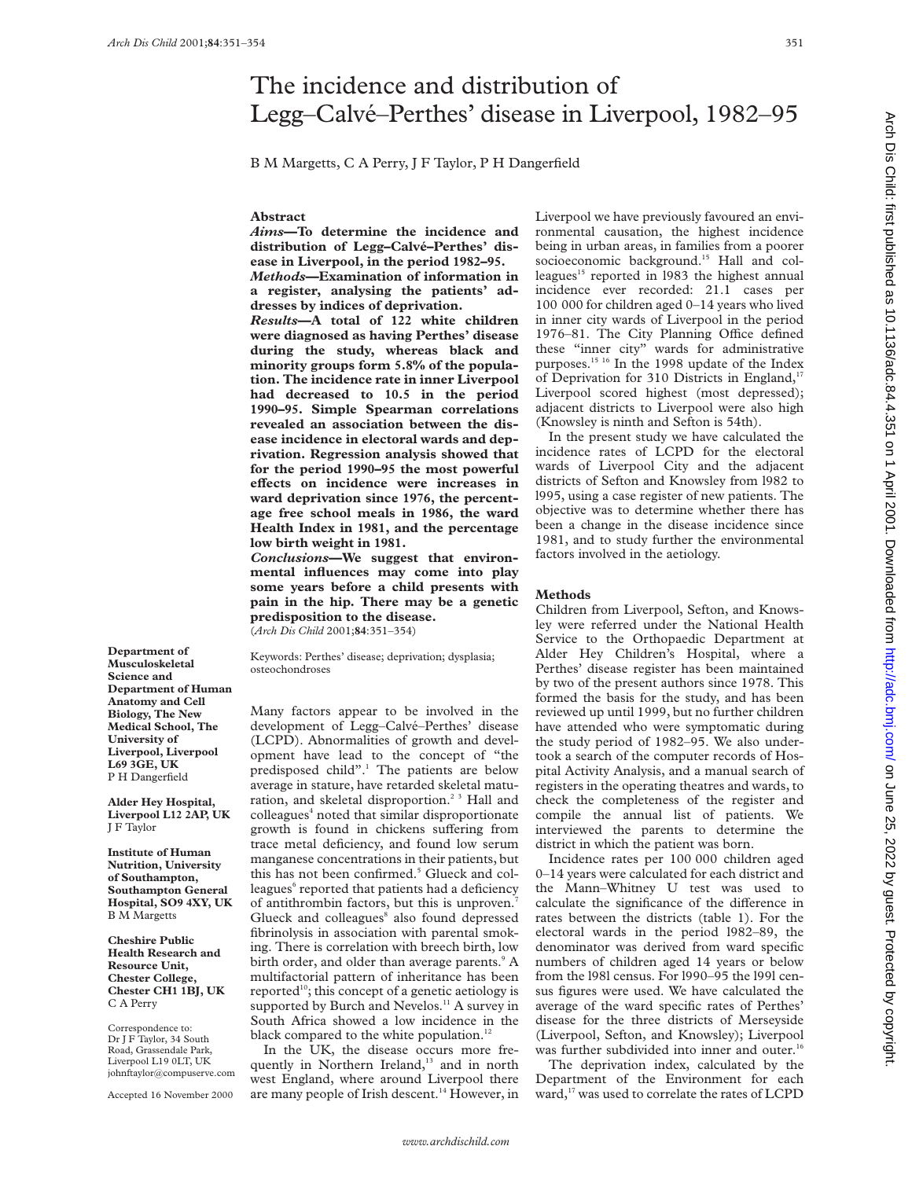# The incidence and distribution of Legg–Calvé–Perthes' disease in Liverpool, 1982–95

B M Margetts, C A Perry, J F Taylor, P H Dangerfield

### **Abstract**

*Aims***—To determine the incidence and distribution of Legg–Calvé–Perthes' disease in Liverpool, in the period 1982–95.** *Methods***—Examination of information in**

**a register, analysing the patients' addresses by indices of deprivation.**

*Results***—A total of 122 white children were diagnosed as having Perthes' disease during the study, whereas black and minority groups form 5.8% of the population. The incidence rate in inner Liverpool had decreased to 10.5 in the period 1990–95. Simple Spearman correlations revealed an association between the disease incidence in electoral wards and deprivation. Regression analysis showed that for the period 1990–95 the most powerful** effects on incidence were increases in **ward deprivation since 1976, the percentage free school meals in 1986, the ward Health Index in 1981, and the percentage low birth weight in 1981.**

*Conclusions***—We suggest that environmental influences may come into play some years before a child presents with pain in the hip. There may be a genetic predisposition to the disease.** (*Arch Dis Child* 2001;**84**:351–354)

Keywords: Perthes' disease; deprivation; dysplasia; osteochondroses

Many factors appear to be involved in the development of Legg–Calvé–Perthes' disease (LCPD). Abnormalities of growth and development have lead to the concept of "the predisposed child".<sup>1</sup> The patients are below average in stature, have retarded skeletal maturation, and skeletal disproportion.<sup>23</sup> Hall and colleagues<sup>4</sup> noted that similar disproportionate growth is found in chickens suffering from trace metal deficiency, and found low serum manganese concentrations in their patients, but this has not been confirmed.<sup>5</sup> Glueck and colleagues<sup>6</sup> reported that patients had a deficiency of antithrombin factors, but this is unproven.7 Glueck and colleagues<sup>8</sup> also found depressed fibrinolysis in association with parental smoking. There is correlation with breech birth, low birth order, and older than average parents.<sup>9</sup> A multifactorial pattern of inheritance has been reported<sup>10</sup>; this concept of a genetic aetiology is supported by Burch and Nevelos.<sup>11</sup> A survey in South Africa showed a low incidence in the black compared to the white population.<sup>12</sup>

In the UK, the disease occurs more frequently in Northern Ireland,<sup>13</sup> and in north west England, where around Liverpool there are many people of Irish descent.<sup>14</sup> However, in Liverpool we have previously favoured an environmental causation, the highest incidence being in urban areas, in families from a poorer socioeconomic background.<sup>15</sup> Hall and colleagues<sup>15</sup> reported in 1983 the highest annual incidence ever recorded: 21.1 cases per 100 000 for children aged 0–14 years who lived in inner city wards of Liverpool in the period 1976–81. The City Planning Office defined these "inner city" wards for administrative purposes.15 16 In the 1998 update of the Index of Deprivation for 310 Districts in England,<sup>17</sup> Liverpool scored highest (most depressed); adjacent districts to Liverpool were also high (Knowsley is ninth and Sefton is 54th).

In the present study we have calculated the incidence rates of LCPD for the electoral wards of Liverpool City and the adjacent districts of Sefton and Knowsley from l982 to l995, using a case register of new patients. The objective was to determine whether there has been a change in the disease incidence since 1981, and to study further the environmental factors involved in the aetiology.

## **Methods**

Children from Liverpool, Sefton, and Knowsley were referred under the National Health Service to the Orthopaedic Department at Alder Hey Children's Hospital, where a Perthes' disease register has been maintained by two of the present authors since 1978. This formed the basis for the study, and has been reviewed up until 1999, but no further children have attended who were symptomatic during the study period of 1982–95. We also undertook a search of the computer records of Hospital Activity Analysis, and a manual search of registers in the operating theatres and wards, to check the completeness of the register and compile the annual list of patients. We interviewed the parents to determine the district in which the patient was born.

Incidence rates per 100 000 children aged 0–14 years were calculated for each district and the Mann–Whitney U test was used to calculate the significance of the difference in rates between the districts (table 1). For the electoral wards in the period l982–89, the denominator was derived from ward specific numbers of children aged 14 years or below from the l98l census. For l990–95 the l99l census figures were used. We have calculated the average of the ward specific rates of Perthes' disease for the three districts of Merseyside (Liverpool, Sefton, and Knowsley); Liverpool was further subdivided into inner and outer.<sup>16</sup>

The deprivation index, calculated by the Department of the Environment for each ward,<sup>17</sup> was used to correlate the rates of LCPD

#### **Musculoskeletal Science and Department of Human Anatomy and Cell Biology, The New Medical School, The University of Liverpool, Liverpool L69 3GE, UK** P H Dangerfield

**Department of**

**Alder Hey Hospital, Liverpool L12 2AP, UK** J F Taylor

**Institute of Human Nutrition, University of Southampton, Southampton General Hospital, SO9 4XY, UK** B M Margetts

**Cheshire Public Health Research and Resource Unit, Chester College, Chester CH1 1BJ, UK** C A Perry

Correspondence to: Dr J F Taylor, 34 South Road, Grassendale Park, Liverpool L19 0LT, UK johnftaylor@compuserve.com

Accepted 16 November 2000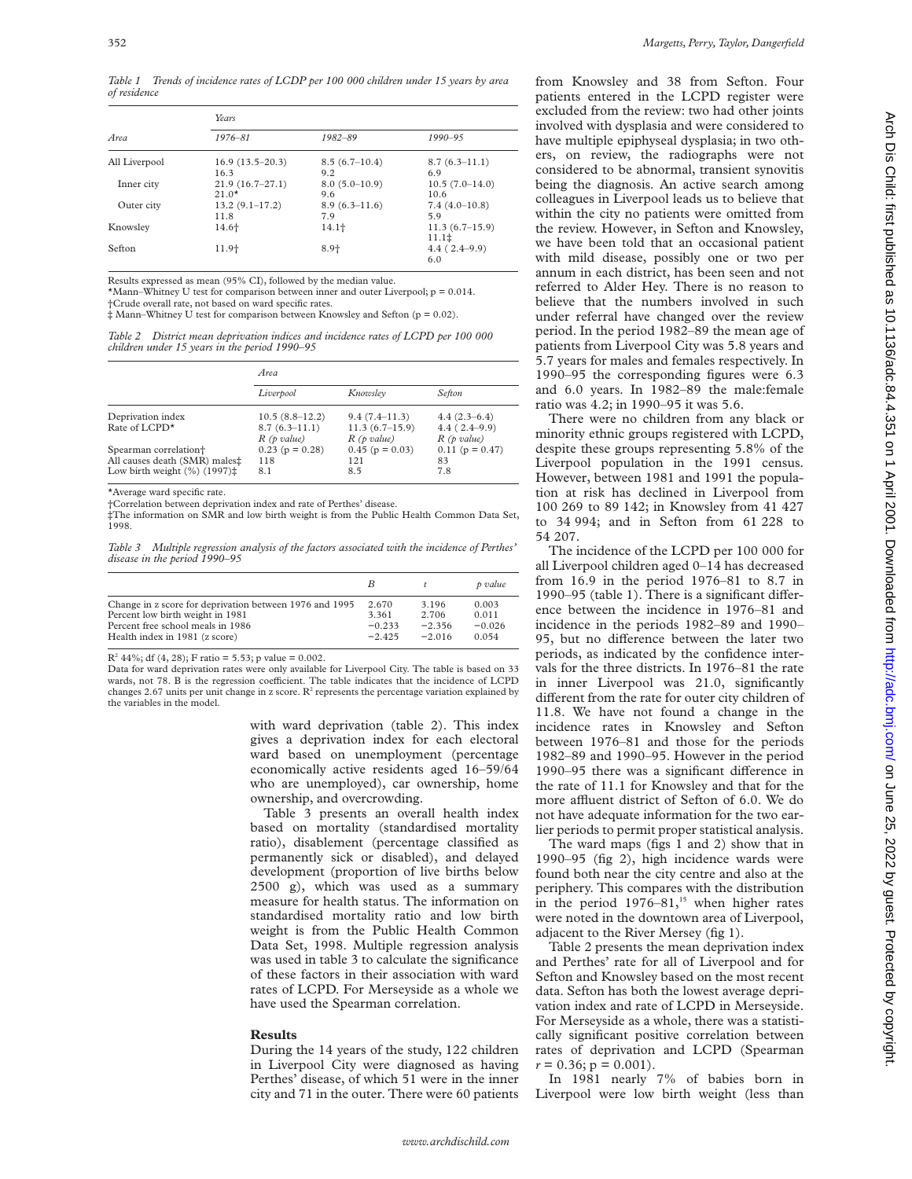*Table 1 Trends of incidence rates of LCDP per 100 000 children under 15 years by area of residence*

| Area          | Years             |                 |                       |  |  |
|---------------|-------------------|-----------------|-----------------------|--|--|
|               | $1976 - 81$       | 1982-89         | $1990 - 95$           |  |  |
| All Liverpool | $16.9(13.5-20.3)$ | $8.5(6.7-10.4)$ | $8.7(6.3-11.1)$       |  |  |
|               | 16.3              | 9.2             | 6.9                   |  |  |
| Inner city    | $21.9(16.7-27.1)$ | $8.0(5.0-10.9)$ | $10.5(7.0-14.0)$      |  |  |
|               | $21.0*$           | 9.6             | 10.6                  |  |  |
| Outer city    | $13.2(9.1-17.2)$  | $8.9(6.3-11.6)$ | $7.4(4.0-10.8)$       |  |  |
|               | 11.8              | 7.9             | 5.9                   |  |  |
| Knowsley      | 14.6+             | $14.1+$         | $11.3(6.7-15.9)$      |  |  |
|               |                   |                 | $11.1$ $\ddagger$     |  |  |
| Sefton        | $11.9+$           | $8.9 +$         | $4.4(2.4-9.9)$<br>6.0 |  |  |

Results expressed as mean (95% CI), followed by the median value.

\*Mann–Whitney U test for comparison between inner and outer Liverpool;  $p = 0.014$ .

†Crude overall rate, not based on ward specific rates.

‡ Mann–Whitney U test for comparison between Knowsley and Sefton (p = 0.02).

*Table 2 District mean deprivation indices and incidence rates of LCPD per 100 000 children under 15 years in the period 1990–95*

|                                                                | Area                          |                                |                                 |  |
|----------------------------------------------------------------|-------------------------------|--------------------------------|---------------------------------|--|
|                                                                | Liverpool                     | Knowsley                       | <b>Sefton</b>                   |  |
| Deprivation index                                              | $10.5(8.8 - 12.2)$            | $9.4(7.4-11.3)$                | $4.4(2.3-6.4)$                  |  |
| Rate of LCPD <sup>*</sup>                                      | $8.7(6.3-11.1)$<br>R(p value) | $11.3(6.7-15.9)$<br>R(p value) | $4.4(2.4-9.9)$<br>$R$ (p value) |  |
| Spearman correlation <sup>+</sup>                              | $0.23$ (p = 0.28)             | $0.45$ (p = 0.03)              | $0.11$ (p = 0.47)               |  |
| All causes death (SMR) males#                                  | 118                           | 121                            | 83                              |  |
| Low birth weight $(\%)(1997)$ <sup><math>\ddagger</math></sup> | 8.1                           | 8.5                            | 7.8                             |  |

\*Average ward specific rate.

†Correlation between deprivation index and rate of Perthes' disease.

‡The information on SMR and low birth weight is from the Public Health Common Data Set, 1998.

*Table 3 Multiple regression analysis of the factors associated with the incidence of Perthes' disease in the period 1990–95*

|                                                         | B        | $\tau$   | p value  |
|---------------------------------------------------------|----------|----------|----------|
| Change in z score for deprivation between 1976 and 1995 | 2.670    | 3.196    | 0.003    |
| Percent low birth weight in 1981                        | 3.361    | 2.706    | 0.011    |
| Percent free school meals in 1986                       | $-0.233$ | $-2.356$ | $-0.026$ |
| Health index in 1981 (z score)                          | $-2.425$ | $-2.016$ | 0.054    |

 $R^2$  44%; df (4, 28); F ratio = 5.53; p value = 0.002.

Data for ward deprivation rates were only available for Liverpool City. The table is based on 33 wards, not 78. B is the regression coefficient. The table indicates that the incidence of LCPD changes 2.67 units per unit change in z score.  $\mathbb{R}^2$  represents the percentage variation explained by the variables in the model.

> with ward deprivation (table 2). This index gives a deprivation index for each electoral ward based on unemployment (percentage economically active residents aged 16–59/64 who are unemployed), car ownership, home ownership, and overcrowding.

Table 3 presents an overall health index based on mortality (standardised mortality ratio), disablement (percentage classified as permanently sick or disabled), and delayed development (proportion of live births below 2500 g), which was used as a summary measure for health status. The information on standardised mortality ratio and low birth weight is from the Public Health Common Data Set, 1998. Multiple regression analysis was used in table 3 to calculate the significance of these factors in their association with ward rates of LCPD. For Merseyside as a whole we have used the Spearman correlation.

#### **Results**

During the 14 years of the study, 122 children in Liverpool City were diagnosed as having Perthes' disease, of which 51 were in the inner city and 71 in the outer. There were 60 patients from Knowsley and 38 from Sefton. Four patients entered in the LCPD register were excluded from the review: two had other joints involved with dysplasia and were considered to have multiple epiphyseal dysplasia; in two others, on review, the radiographs were not considered to be abnormal, transient synovitis being the diagnosis. An active search among colleagues in Liverpool leads us to believe that within the city no patients were omitted from the review. However, in Sefton and Knowsley, we have been told that an occasional patient with mild disease, possibly one or two per annum in each district, has been seen and not referred to Alder Hey. There is no reason to believe that the numbers involved in such under referral have changed over the review period. In the period 1982–89 the mean age of patients from Liverpool City was 5.8 years and 5.7 years for males and females respectively. In 1990–95 the corresponding figures were 6.3 and 6.0 years. In 1982–89 the male:female ratio was 4.2; in 1990–95 it was 5.6.

There were no children from any black or minority ethnic groups registered with LCPD, despite these groups representing 5.8% of the Liverpool population in the 1991 census. However, between 1981 and 1991 the population at risk has declined in Liverpool from 100 269 to 89 142; in Knowsley from 41 427 to 34 994; and in Sefton from 61 228 to 54 207.

The incidence of the LCPD per 100 000 for all Liverpool children aged 0–14 has decreased from 16.9 in the period 1976–81 to 8.7 in 1990–95 (table 1). There is a significant difference between the incidence in 1976–81 and incidence in the periods 1982–89 and 1990– 95, but no difference between the later two periods, as indicated by the confidence intervals for the three districts. In 1976–81 the rate in inner Liverpool was 21.0, significantly different from the rate for outer city children of 11.8. We have not found a change in the incidence rates in Knowsley and Sefton between 1976–81 and those for the periods 1982–89 and 1990–95. However in the period 1990–95 there was a significant difference in the rate of 11.1 for Knowsley and that for the more affluent district of Sefton of 6.0. We do not have adequate information for the two earlier periods to permit proper statistical analysis.

The ward maps (figs 1 and 2) show that in 1990–95 (fig 2), high incidence wards were found both near the city centre and also at the periphery. This compares with the distribution in the period  $1976-81$ ,<sup>15</sup> when higher rates were noted in the downtown area of Liverpool, adjacent to the River Mersey (fig 1).

Table 2 presents the mean deprivation index and Perthes' rate for all of Liverpool and for Sefton and Knowsley based on the most recent data. Sefton has both the lowest average deprivation index and rate of LCPD in Merseyside. For Merseyside as a whole, there was a statistically significant positive correlation between rates of deprivation and LCPD (Spearman  $r = 0.36$ ;  $p = 0.001$ ).

In 1981 nearly 7% of babies born in Liverpool were low birth weight (less than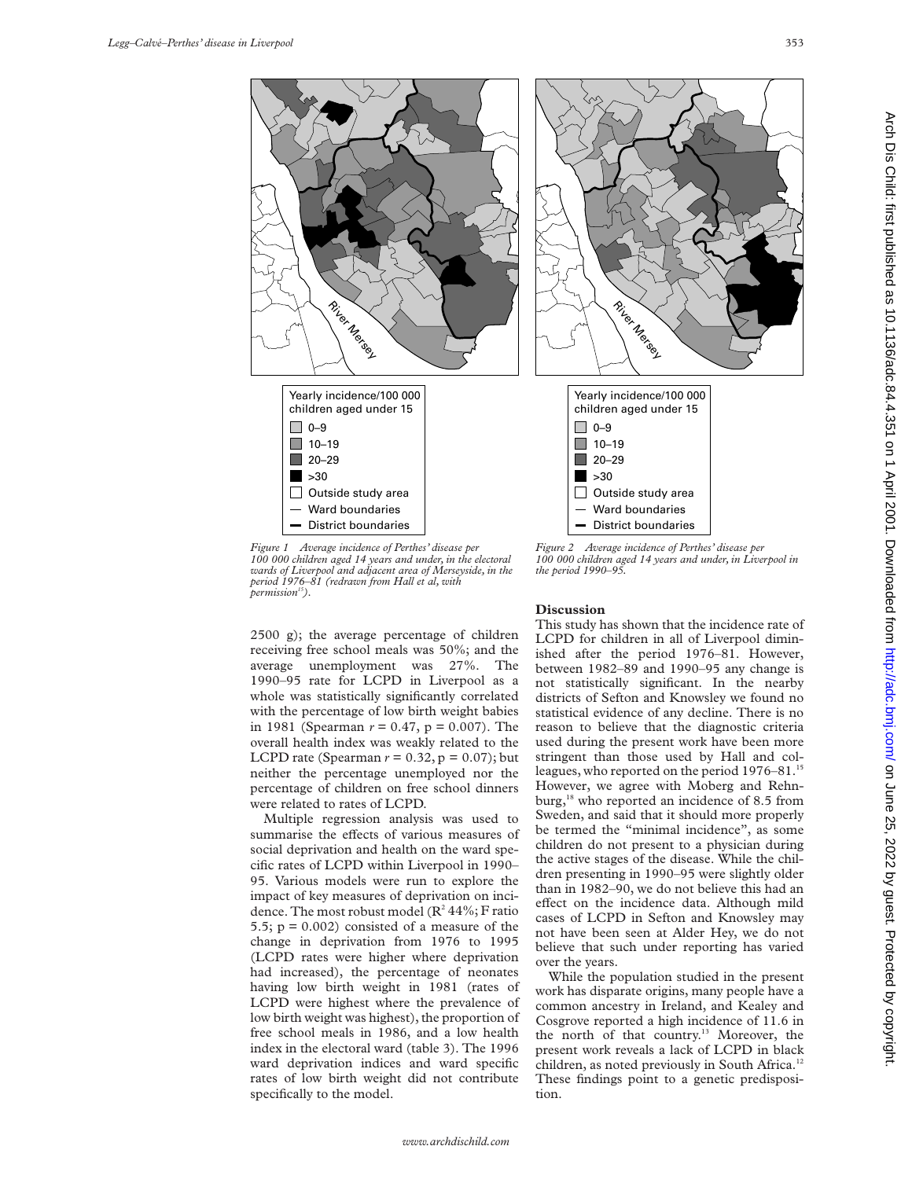

*Figure 1 Average incidence of Perthes' disease per 100 000 children aged 14 years and under, in the electoral wards of Liverpool and adjacent area of Merseyside, in the period 1976–81 (redrawn from Hall et al, with*  $permission^{15}$ ).

2500 g); the average percentage of children receiving free school meals was 50%; and the average unemployment was 27%. The 1990–95 rate for LCPD in Liverpool as a whole was statistically significantly correlated with the percentage of low birth weight babies in 1981 (Spearman  $r = 0.47$ ,  $p = 0.007$ ). The overall health index was weakly related to the LCPD rate (Spearman  $r = 0.32$ ,  $p = 0.07$ ); but neither the percentage unemployed nor the percentage of children on free school dinners were related to rates of LCPD.

Multiple regression analysis was used to summarise the effects of various measures of social deprivation and health on the ward specific rates of LCPD within Liverpool in 1990– 95. Various models were run to explore the impact of key measures of deprivation on incidence. The most robust model ( $\mathbb{R}^2$  44%; F ratio 5.5;  $p = 0.002$ ) consisted of a measure of the change in deprivation from 1976 to 1995 (LCPD rates were higher where deprivation had increased), the percentage of neonates having low birth weight in 1981 (rates of LCPD were highest where the prevalence of low birth weight was highest), the proportion of free school meals in 1986, and a low health index in the electoral ward (table 3). The 1996 ward deprivation indices and ward specific rates of low birth weight did not contribute specifically to the model.

## **Discussion**

This study has shown that the incidence rate of LCPD for children in all of Liverpool diminished after the period 1976–81. However, between 1982–89 and 1990–95 any change is not statistically significant. In the nearby districts of Sefton and Knowsley we found no statistical evidence of any decline. There is no reason to believe that the diagnostic criteria used during the present work have been more stringent than those used by Hall and colleagues, who reported on the period 1976–81.<sup>15</sup> However, we agree with Moberg and Rehnburg,<sup>18</sup> who reported an incidence of 8.5 from Sweden, and said that it should more properly be termed the "minimal incidence", as some children do not present to a physician during the active stages of the disease. While the children presenting in 1990–95 were slightly older than in 1982–90, we do not believe this had an effect on the incidence data. Although mild cases of LCPD in Sefton and Knowsley may not have been seen at Alder Hey, we do not believe that such under reporting has varied over the years.

*100 000 children aged 14 years and under, in Liverpool in the period 1990–95.*

While the population studied in the present work has disparate origins, many people have a common ancestry in Ireland, and Kealey and Cosgrove reported a high incidence of 11.6 in the north of that country.<sup>13</sup> Moreover, the present work reveals a lack of LCPD in black children, as noted previously in South Africa.<sup>12</sup> These findings point to a genetic predisposition.